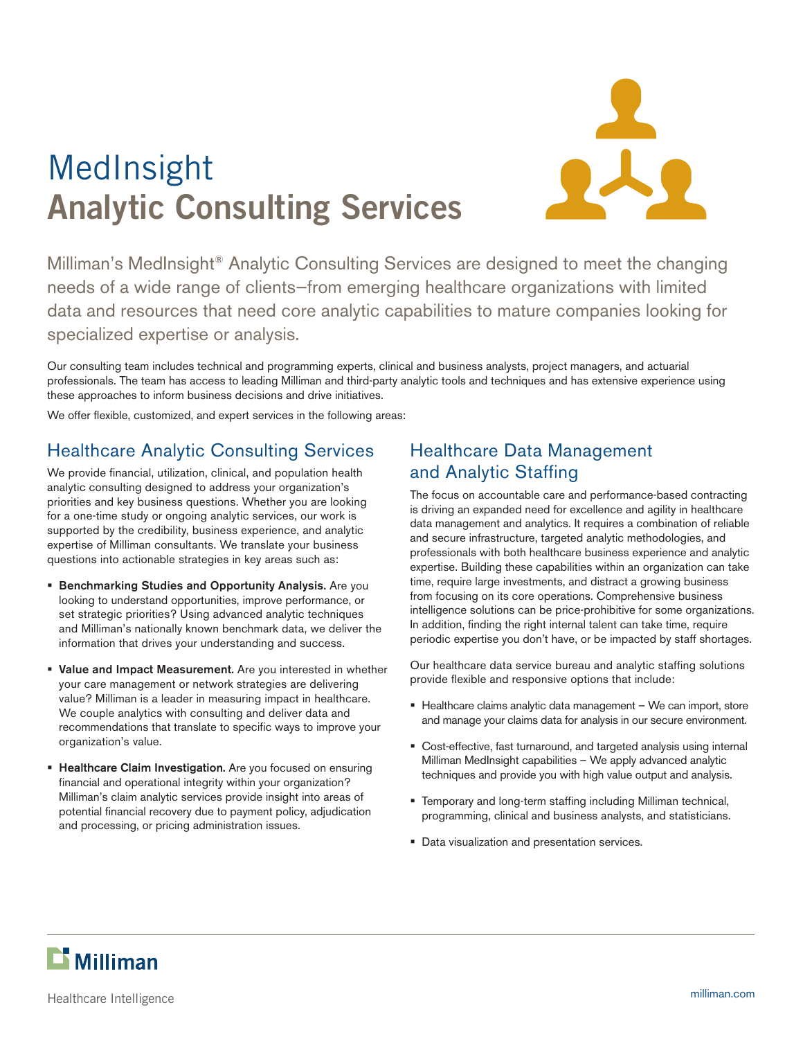



Milliman's MedInsight® Analytic Consulting Services are designed to meet the changing needs of a wide range of clients—from emerging healthcare organizations with limited data and resources that need core analytic capabilities to mature companies looking for specialized expertise or analysis.

Our consulting team includes technical and programming experts, clinical and business analysts, project managers, and actuarial professionals. The team has access to leading Milliman and third-party analytic tools and techniques and has extensive experience using these approaches to inform business decisions and drive initiatives.

We offer flexible, customized, and expert services in the following areas:

# Healthcare Analytic Consulting Services

We provide financial, utilization, clinical, and population health analytic consulting designed to address your organization's priorities and key business questions. Whether you are looking for a one-time study or ongoing analytic services, our work is supported by the credibility, business experience, and analytic expertise of Milliman consultants. We translate your business questions into actionable strategies in key areas such as:

- **Benchmarking Studies and Opportunity Analysis.** Are you looking to understand opportunities, improve performance, or set strategic priorities? Using advanced analytic techniques and Milliman's nationally known benchmark data, we deliver the information that drives your understanding and success.
- **Value and Impact Measurement.** Are you interested in whether your care management or network strategies are delivering value? Milliman is a leader in measuring impact in healthcare. We couple analytics with consulting and deliver data and recommendations that translate to specific ways to improve your organization's value.
- **Healthcare Claim Investigation.** Are you focused on ensuring financial and operational integrity within your organization? Milliman's claim analytic services provide insight into areas of potential financial recovery due to payment policy, adjudication and processing, or pricing administration issues.

### Healthcare Data Management and Analytic Staffing

The focus on accountable care and performance-based contracting is driving an expanded need for excellence and agility in healthcare data management and analytics. It requires a combination of reliable and secure infrastructure, targeted analytic methodologies, and professionals with both healthcare business experience and analytic expertise. Building these capabilities within an organization can take time, require large investments, and distract a growing business from focusing on its core operations. Comprehensive business intelligence solutions can be price-prohibitive for some organizations. In addition, finding the right internal talent can take time, require periodic expertise you don't have, or be impacted by staff shortages.

Our healthcare data service bureau and analytic staffing solutions provide flexible and responsive options that include:

- Healthcare claims analytic data management We can import, store and manage your claims data for analysis in our secure environment.
- Cost-effective, fast turnaround, and targeted analysis using internal Milliman MedInsight capabilities – We apply advanced analytic techniques and provide you with high value output and analysis.
- Temporary and long-term staffing including Milliman technical, programming, clinical and business analysts, and statisticians.
- **Data visualization and presentation services.**